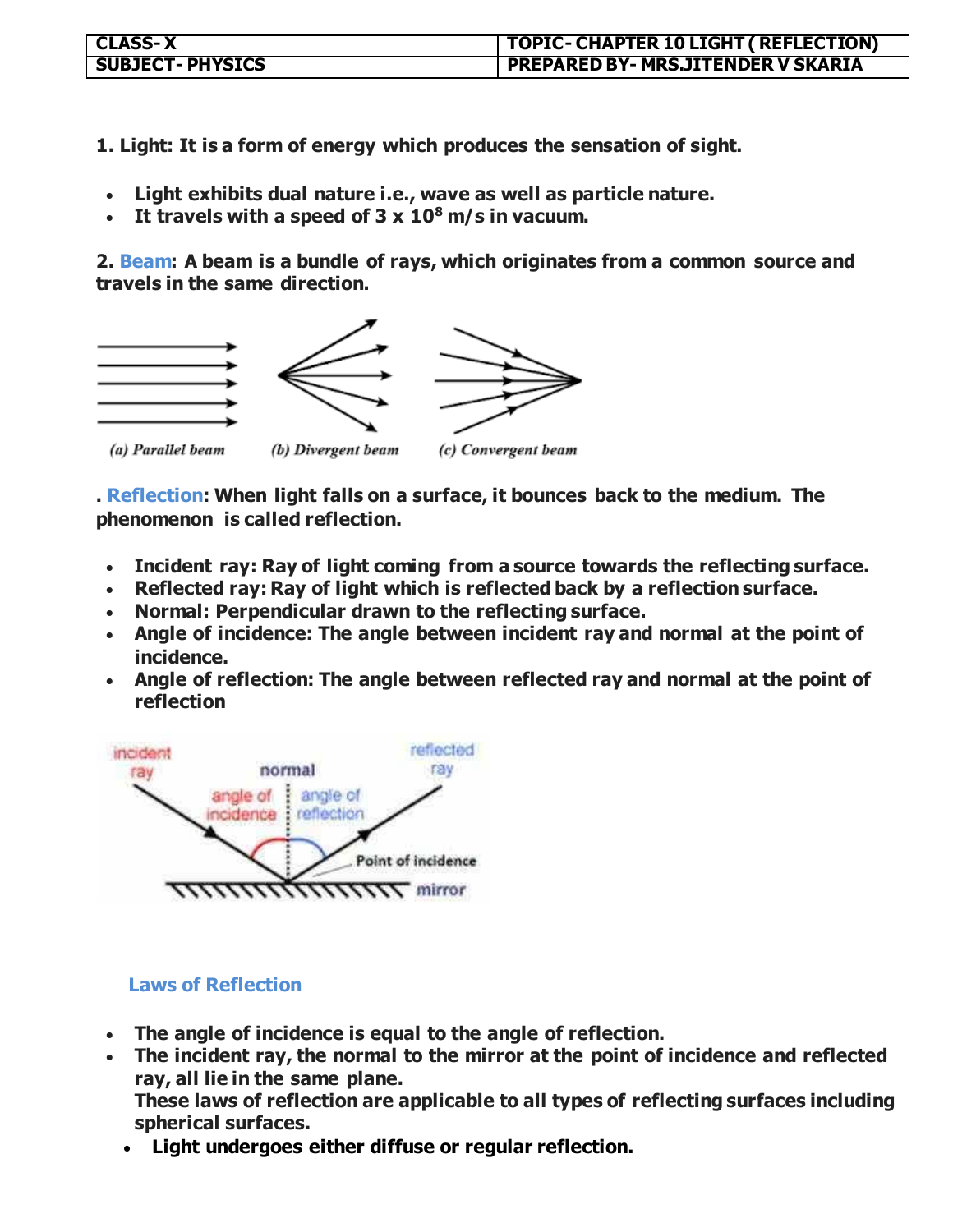| <b>CLASS-X</b>         | TOPIC- CHAPTER 10 LIGHT ( REFLECTION)     |
|------------------------|-------------------------------------------|
| <b>SUBJECT-PHYSICS</b> | <b>PREPARED BY- MRS.JITENDER V SKARIA</b> |

**1. Light: It is a form of energy which produces the sensation of sight.**

- **Light exhibits dual nature i.e., wave as well as particle nature.**
- **It travels with a speed of 3 x 10<sup>8</sup>m/s in vacuum.**

**2. Beam: A beam is a bundle of rays, which originates from a common source and travels in the same direction.**



**. Reflection: When light falls on a surface, it bounces back to the medium. The phenomenon is called reflection.**

- **Incident ray: Ray of light coming from a source towards the reflecting surface.**
- **Reflected ray: Ray of light which is reflected back by a reflection surface.**
- **Normal: Perpendicular drawn to the reflecting surface.**
- **Angle of incidence: The angle between incident ray and normal at the point of incidence.**
- **Angle of reflection: The angle between reflected ray and normal at the point of reflection**



## **Laws of Reflection**

- **The angle of incidence is equal to the angle of reflection.**
- **The incident ray, the normal to the mirror at the point of incidence and reflected ray, all lie in the same plane.**

**These laws of reflection are applicable to all types of reflecting surfaces including spherical surfaces.**

**Light undergoes either diffuse or regular reflection.**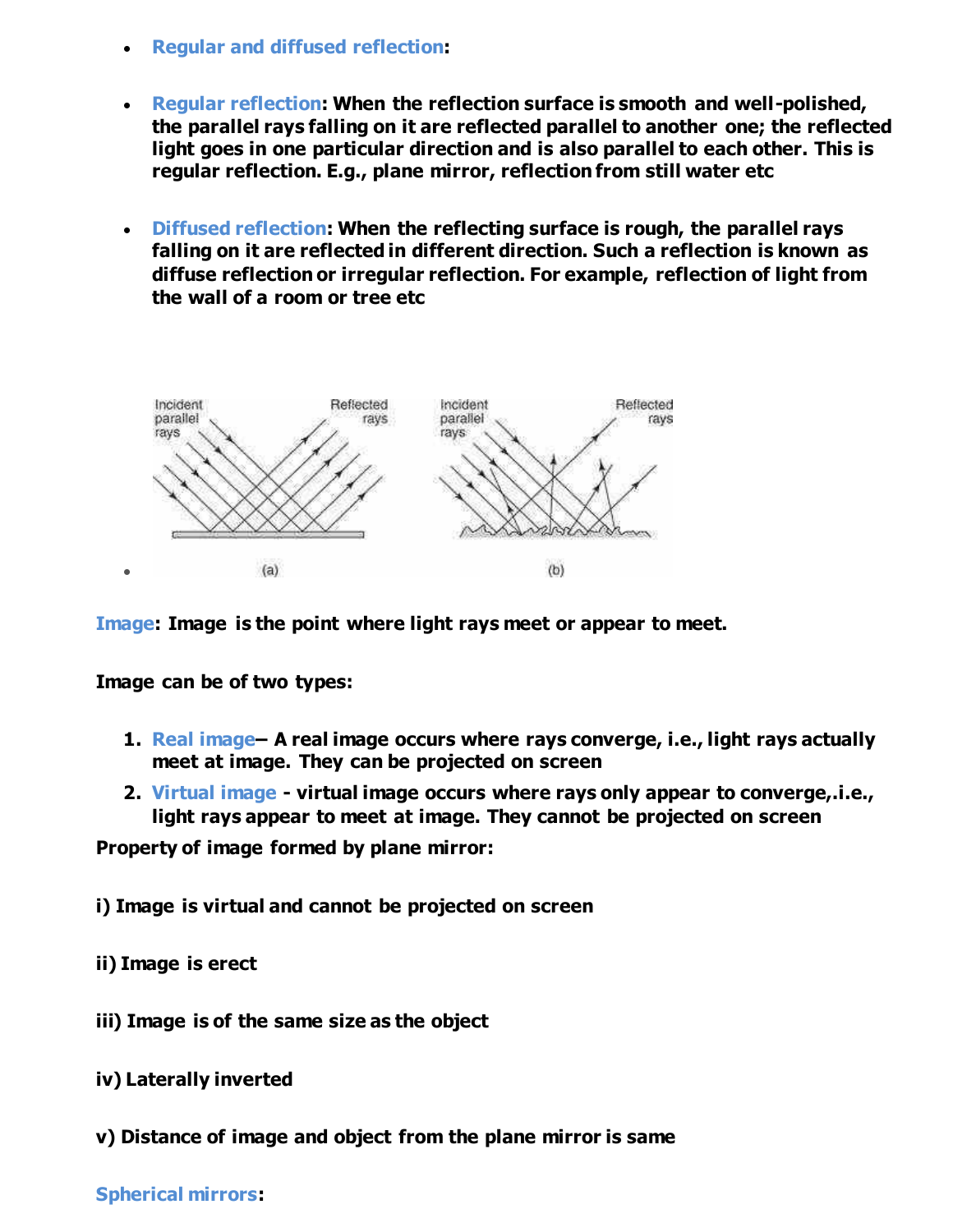- **Regular and diffused reflection:**
- **Regular reflection: When the reflection surface is smooth and well-polished, the parallel rays falling on it are reflected parallel to another one; the reflected light goes in one particular direction and is also parallel to each other. This is regular reflection. E.g., plane mirror, reflection from still water etc**
- **Diffused reflection: When the reflecting surface is rough, the parallel rays falling on it are reflected in different direction. Such a reflection is known as diffuse reflection or irregular reflection. For example, reflection of light from the wall of a room or tree etc**



**Image: Image is the point where light rays meet or appear to meet.** 

**Image can be of two types:** 

- **1. Real image– A real image occurs where rays converge, i.e., light rays actually meet at image. They can be projected on screen**
- **2. Virtual image virtual image occurs where rays only appear to converge,.i.e., light rays appear to meet at image. They cannot be projected on screen**

**Property of image formed by plane mirror:** 

**i) Image is virtual and cannot be projected on screen** 

- **ii) Image is erect**
- **iii) Image is of the same size as the object**
- **iv) Laterally inverted**
- **v) Distance of image and object from the plane mirror is same**

## **Spherical mirrors:**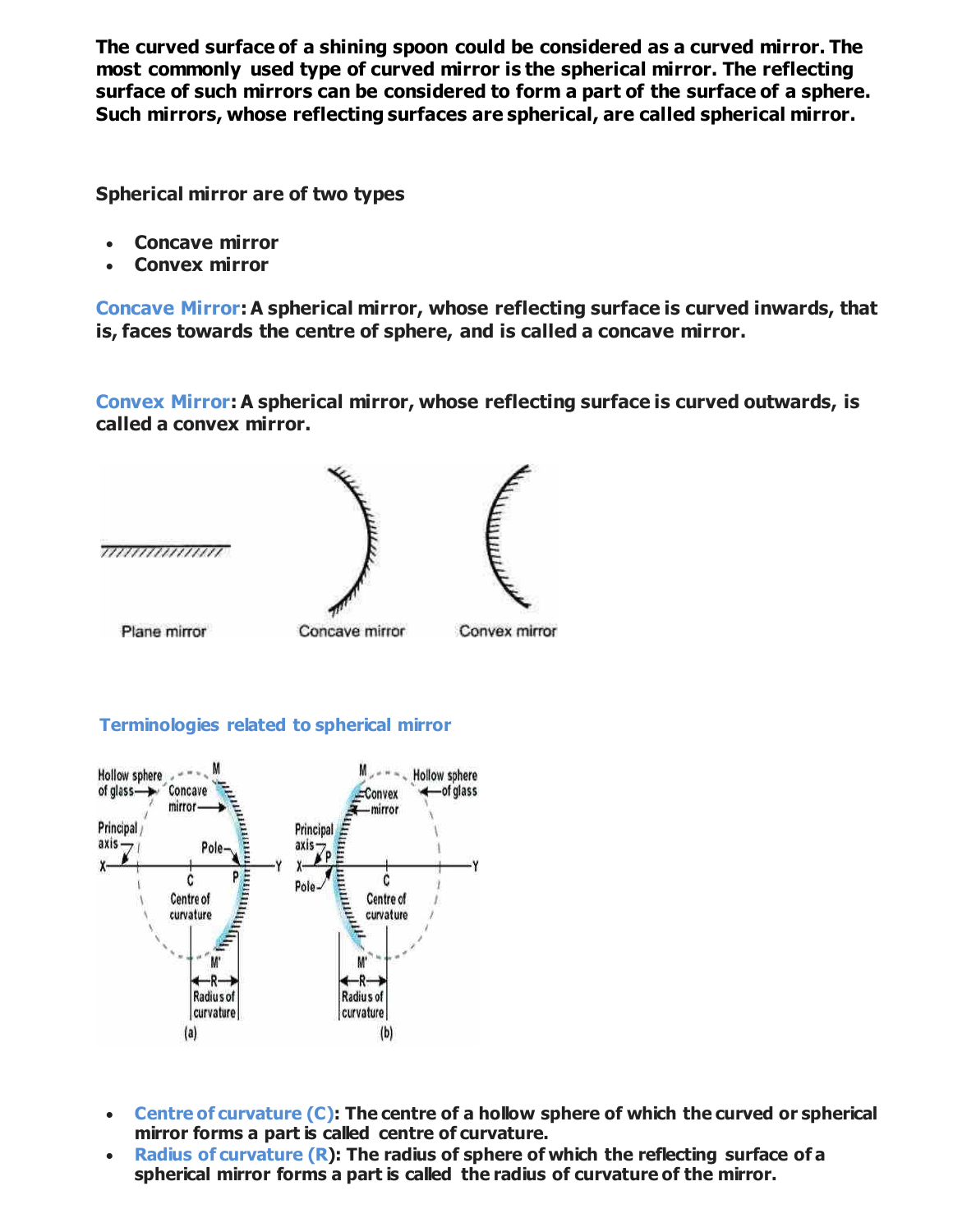**The curved surface of a shining spoon could be considered as a curved mirror. The most commonly used type of curved mirror is the spherical mirror. The reflecting surface of such mirrors can be considered to form a part of the surface of a sphere. Such mirrors, whose reflecting surfaces are spherical, are called spherical mirror.** 

**Spherical mirror are of two types**

- **Concave mirror**
- **Convex mirror**

**Concave Mirror: A spherical mirror, whose reflecting surface is curved inwards, that is, faces towards the centre of sphere, and is called a concave mirror.**

**Convex Mirror: A spherical mirror, whose reflecting surface is curved outwards, is called a convex mirror.**



## **Terminologies related to spherical mirror**



- **Centre of curvature (C): The centre of a hollow sphere of which the curved or spherical mirror forms a part is called centre of curvature.**
- **Radius of curvature (R): The radius of sphere of which the reflecting surface of a spherical mirror forms a part is called the radius of curvature of the mirror.**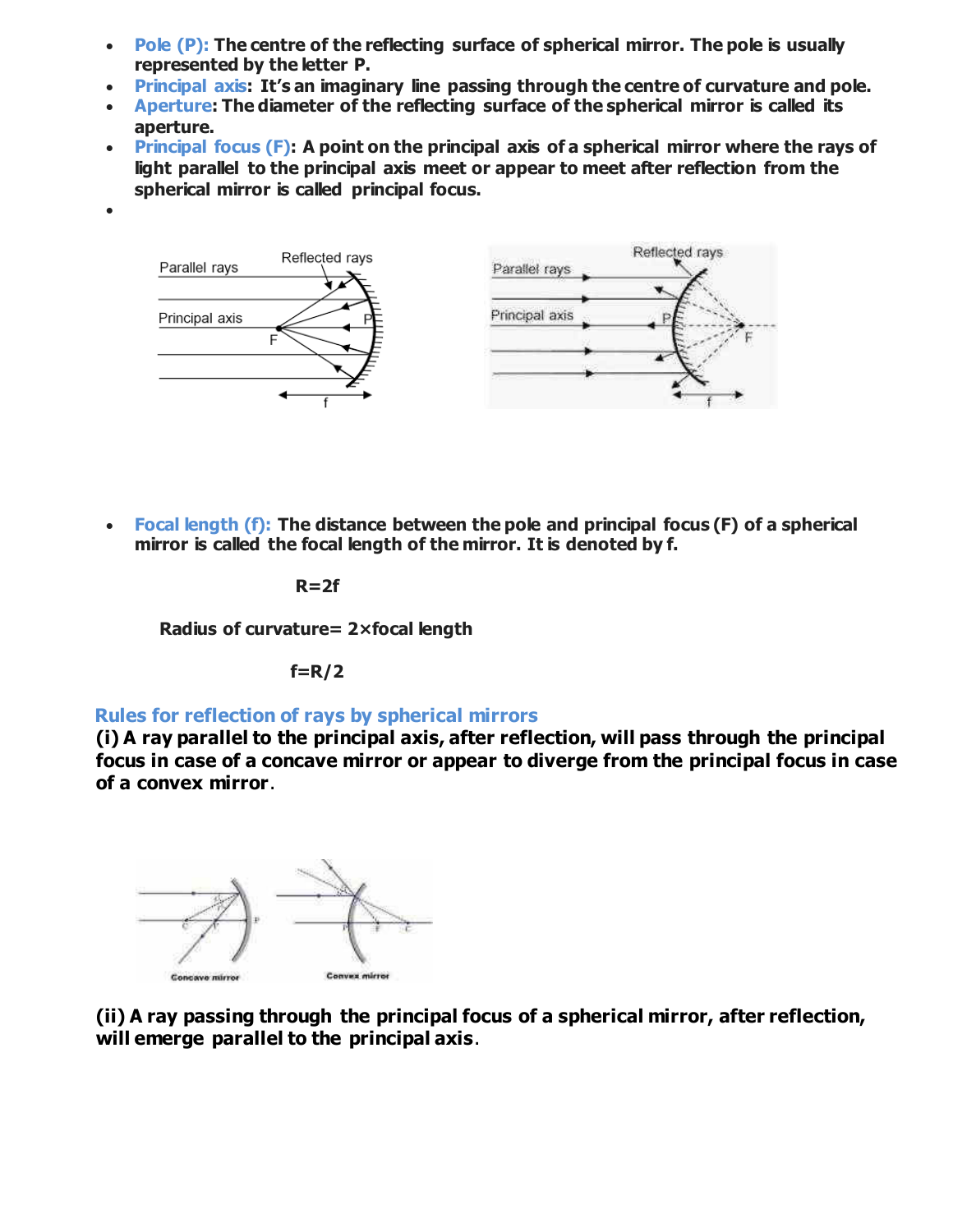- **Pole (P): The centre of the reflecting surface of spherical mirror. The pole is usually represented by the letter P.**
- **Principal axis: It's an imaginary line passing through the centre of curvature and pole.**
- **Aperture: The diameter of the reflecting surface of the spherical mirror is called its aperture.**
- **Principal focus (F): A point on the principal axis of a spherical mirror where the rays of light parallel to the principal axis meet or appear to meet after reflection from the spherical mirror is called principal focus.**



 **Focal length (f): The distance between the pole and principal focus (F) of a spherical mirror is called the focal length of the mirror. It is denoted by f.**

**R=2f**

 $\bullet$ 

**Radius of curvature= 2×focal length** 

**f=R/2**

## **Rules for reflection of rays by spherical mirrors**

**(i) A ray parallel to the principal axis, after reflection, will pass through the principal focus in case of a concave mirror or appear to diverge from the principal focus in case of a convex mirror**.



**(ii) A ray passing through the principal focus of a spherical mirror, after reflection, will emerge parallel to the principal axis**.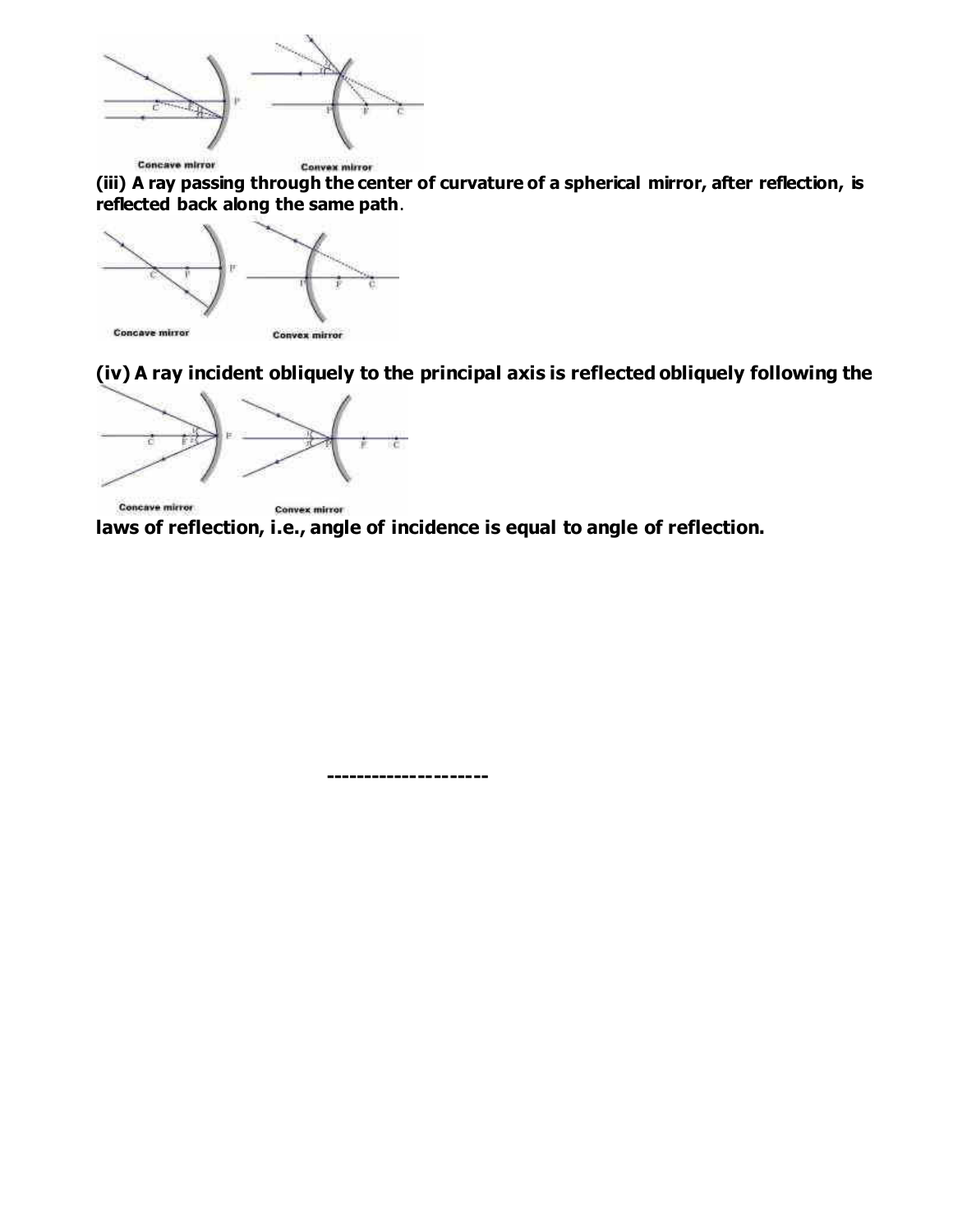

**(iii) A ray passing through the center of curvature of a spherical mirror, after reflection, is reflected back along the same path**.



**(iv) A ray incident obliquely to the principal axis is reflected obliquely following the** 



Concave mirror **Convex mirror laws of reflection, i.e., angle of incidence is equal to angle of reflection.**

 **---------------------**